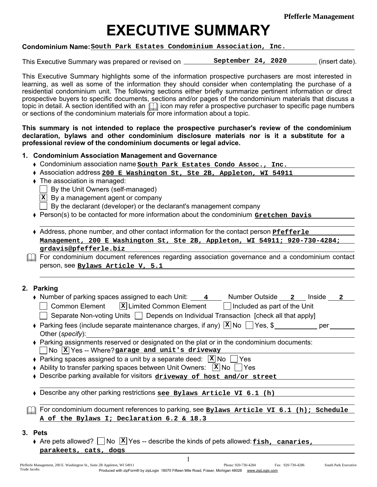**Pfefferle Management**

# EXECUTIVE SUMMARY

## Condominium Name: **South Park Estates Condominium Association, Inc.**

This Executive Summary was prepared or revised on **September 24, 2020** (insert date).

This Executive Summary highlights some of the information prospective purchasers are most interested in learning, as well as some of the information they should consider when contemplating the purchase of a residential condominium unit. The following sections either briefly summarize pertinent information or direct prospective buyers to specific documents, sections and/or pages of the condominium materials that discuss a topic in detail. A section identified with an  $\Box$  icon may refer a prospective purchaser to specific page numbers or sections of the condominium materials for more information about a topic.

This summary is not intended to replace the prospective purchaser's review of the condominium declaration, bylaws and other condominium disclosure materials nor is it a substitute for a professional review of the condominium documents or legal advice.

- 1. Condominium Association Management and Governance
	- Condominium association name south Park Estates Condo Assoc., Inc.
	- Association address **200 E Washington St, Ste 2B, Appleton, WI 54911**
	- The association is managed:
		- By the Unit Owners (self-managed)
		- **X** By a management agent or company
		- By the declarant (developer) or the declarant's management company
	- Person(s) to be contacted for more information about the condominium **Gretchen Davis**
	- Address, phone number, and other contact information for the contact person **Pfefferle Management, 200 E Washington St, Ste 2B, Appleton, WI 54911; 920-730-4284; grdavis@pfefferle.biz**

**The For condominium document references regarding association governance and a condominium contact** person, see **Bylaws Article V, 5.1**

# 2. Parking

 $3.$ 

L

| • Number of parking spaces assigned to each Unit: $\frac{4}{4}$ Number Outside $\frac{2}{2}$ Inside<br>$\mathbf{2}$        |  |  |  |
|----------------------------------------------------------------------------------------------------------------------------|--|--|--|
| Common Element $\vert x \vert$ Limited Common Element $\vert x \vert$ Included as part of the Unit                         |  |  |  |
| Separate Non-voting Units   Depends on Individual Transaction [check all that apply]                                       |  |  |  |
| • Parking fees (include separate maintenance charges, if any) $\boxed{\mathbf{x}}$ No $\boxed{\phantom{0}}$ Yes, \$<br>per |  |  |  |
| Other (specify):                                                                                                           |  |  |  |
| ♦ Parking assignments reserved or designated on the plat or in the condominium documents:                                  |  |  |  |
| $\begin{bmatrix} \text{No} & \overline{\text{X}} \end{bmatrix}$ Yes -- Where?garage and unit's driveway                    |  |  |  |
| • Parking spaces assigned to a unit by a separate deed: $ \mathbf{x} $ No $ \mathbf{x} $ Yes                               |  |  |  |
| • Ability to transfer parking spaces between Unit Owners: $\ x\ $ No $\ $   Yes                                            |  |  |  |
| Describe parking available for visitors driveway of host and/or street                                                     |  |  |  |
|                                                                                                                            |  |  |  |
| Describe any other parking restrictions see Bylaws Article VI 6.1 (h)                                                      |  |  |  |
|                                                                                                                            |  |  |  |
| For condominium document references to parking, see Bylaws Article VI 6.1 (h); Schedule                                    |  |  |  |
| A of the Bylaws I; Declaration 6.2 & 18.3                                                                                  |  |  |  |
| <b>Pets</b>                                                                                                                |  |  |  |

Are pets allowed?  $\bigsqcup$  No  $\fbox{{\tt X}}$  Yes -- describe the kinds of pets allowed: <u>fish, canaries,</u> **parakeets, cats, dogs**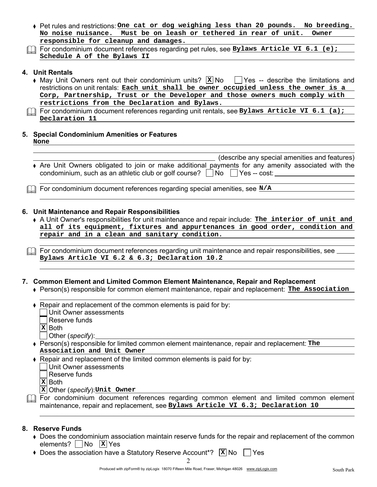- Pet rules and restrictions: **One cat or dog weighing less than 20 pounds. No breeding. No noise nuisance. Must be on leash or tethered in rear of unit. Owner responsible for cleanup and damages.**
- For condominium document references regarding pet rules, see **Bylaws Article VI 6.1 (e); Schedule A of the Bylaws II**

## 4. Unit Rentals

- May Unit Owners rent out their condominium units?  $X|N$ o  $\Box$  Yes -- describe the limitations and restrictions on unit rentals: **Each unit shall be owner occupied unless the owner is a Corp, Partnership, Trust or the Developer and those owners much comply with restrictions from the Declaration and Bylaws.**
- For condominium document references regarding unit rentals, see **Bylaws Article VI 6.1 (a); Declaration 11**

## 5. Special Condominium Amenities or Features

| ٧ |  |
|---|--|
|   |  |

|                                                                                                   | (describe any special amenities and features) |
|---------------------------------------------------------------------------------------------------|-----------------------------------------------|
| Are Unit Owners obligated to join or make additional payments for any amenity associated with the |                                               |
| condominium, such as an athletic club or golf course? $\Box$ No $\Box$ Yes -- cost:               |                                               |

For condominium document references regarding special amenities, see **N/A** 

# 6. Unit Maintenance and Repair Responsibilities

A Unit Owner's responsibilities for unit maintenance and repair include: **The interior of unit and all of its equipment, fixtures and appurtenances in good order, condition and repair and in a clean and sanitary condition.**

 $\Box$  For condominium document references regarding unit maintenance and repair responsibilities, see  $\Box$ **Bylaws Article VI 6.2 & 6.3; Declaration 10.2**

# 7. Common Element and Limited Common Element Maintenance, Repair and Replacement

- Person(s) responsible for common element maintenance, repair and replacement: **The Association**
- $\triangle$  Repair and replacement of the common elements is paid for by: Unit Owner assessments
	- Reserve funds
	-
	- Both **X**
	- Other (*specify*):
- Person(s) responsible for limited common element maintenance, repair and replacement: The **Association and Unit Owner**
- Repair and replacement of the limited common elements is paid for by: Unit Owner assessments
	- Reserve funds
	- Both **X**
	- Other (*specify*): **X Unit Owner**
- **M** For condominium document references regarding common element and limited common element maintenance, repair and replacement, see **Bylaws Article VI 6.3; Declaration 10**

# 8. Reserve Funds

- Does the condominium association maintain reserve funds for the repair and replacement of the common elements? No X Yes
- Does the association have a Statutory Reserve Account\*? X No Yes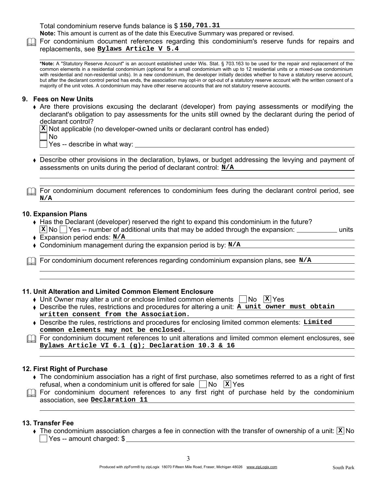Total condominium reserve funds balance is \$ **150,701.31** 

Note: This amount is current as of the date this Executive Summary was prepared or revised.

**The For condominium document references regarding this condominium's reserve funds for repairs and** replacements, see **Bylaws Article V 5.4**

\*Note: A "Statutory Reserve Account" is an account established under Wis. Stat. § 703.163 to be used for the repair and replacement of the common elements in a residential condominium (optional for a small condominium with up to 12 residential units or a mixed-use condominium with residential and non-residential units). In a new condominium, the developer initially decides whether to have a statutory reserve account, but after the declarant control period has ends, the association may opt-in or opt-out of a statutory reserve account with the written consent of a majority of the unit votes. A condominium may have other reserve accounts that are not statutory reserve accounts.

## 9. Fees on New Units

Are there provisions excusing the declarant (developer) from paying assessments or modifying the declarant's obligation to pay assessments for the units still owned by the declarant during the period of declarant control?

Not applicable (no developer-owned units or declarant control has ended) **X**

No

Yes -- describe in what way:

Describe other provisions in the declaration, bylaws, or budget addressing the levying and payment of assessments on units during the period of declarant control: **N/A**

 $\Box$  For condominium document references to condominium fees during the declarant control period, see **N/A**

#### 10. Expansion Plans

- Has the Declarant (developer) reserved the right to expand this condominium in the future?  $\mathbf{X}|\mathsf{No}|$   $\Box$  Yes -- number of additional units that may be added through the expansion:  $\Box$  units
- Expansion period ends: **N/A**
- Condominium management during the expansion period is by: **N/A**

For condominium document references regarding condominium expansion plans, see **N/A** 

## 11. Unit Alteration and Limited Common Element Enclosure

- Unit Owner may alter a unit or enclose limited common elements  $\Box$  No  $\Box$  Yes
- Describe the rules, restrictions and procedures for altering a unit: **A unit owner must obtain written consent from the Association.**
- Describe the rules, restrictions and procedures for enclosing limited common elements: **Limited common elements may not be enclosed.**

For condominium document references to unit alterations and limited common element enclosures, see **Bylaws Article VI 6.1 (g); Declaration 10.3 & 16**

## 12. First Right of Purchase

- The condominium association has a right of first purchase, also sometimes referred to as a right of first refusal, when a condominium unit is offered for sale  $\Box$  No  $\Box$  Yes
- **The For condominium document references to any first right of purchase held by the condominium** association, see **Declaration 11**

#### 13. Transfer Fee

The condominium association charges a fee in connection with the transfer of ownership of a unit:  $|\mathbf{x}|$  No Yes -- amount charged: \$